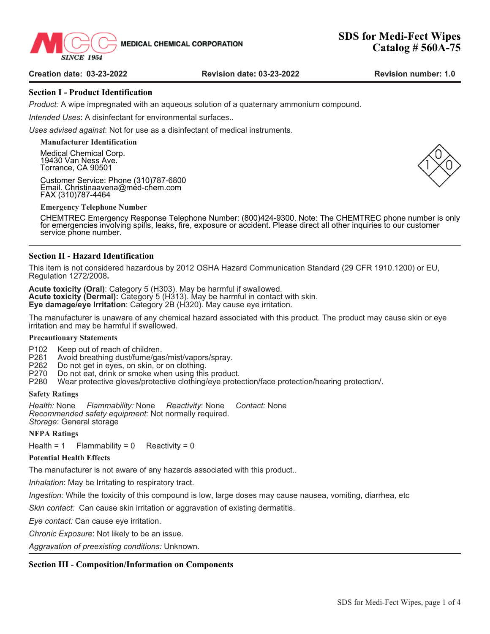

**SINCE 1954** 

## **Section I - Product Identification**

*Product:* A wipe impregnated with an aqueous solution of a quaternary ammonium compound.

*Intended Uses*: A disinfectant for environmental surfaces..

*Uses advised against*: Not for use as a disinfectant of medical instruments.

**Manufacturer Identification** Medical Chemical Corp.

19430 Van Ness Ave. Torrance, CA 90501

Customer Service: Phone (310)787-6800 Email. Christinaavena@med-chem.com FAX (310)787-4464

**Emergency Telephone Number**

CHEMTREC Emergency Response Telephone Number: (800)424-9300. Note: The CHEMTREC phone number is only for emergencies involving spills, leaks, fire, exposure or accident. Please direct all other inquiries to our customer service phone number.

# **Section II - Hazard Identification**

This item is not considered hazardous by 2012 OSHA Hazard Communication Standard (29 CFR 1910.1200) or EU, Regulation 1272/2008**.**

**Acute toxicity (Oral)**: Category 5 (H303). May be harmful if swallowed. **Acute toxicity (Dermal):** Category 5 (H313). May be harmful in contact with skin. **Eye damage/eye Irritation**: Category 2B (H320). May cause eye irritation.

The manufacturer is unaware of any chemical hazard associated with this product. The product may cause skin or eye irritation and may be harmful if swallowed.

#### **Precautionary Statements**

- P102 Keep out of reach of children.<br>P261 Avoid breathing dust/fume/gas
- P261 Avoid breathing dust/fume/gas/mist/vapors/spray.<br>P262 Do not get in eves, on skin, or on clothing.
- P262 Do not get in eyes, on skin, or on clothing.
- 
- P270 Do not eat, drink or smoke when using this product.<br>P280 Wear protective gloves/protective clothing/eye prote Wear protective gloves/protective clothing/eye protection/face protection/hearing protection/.

#### **Safety Ratings**

*Health:* None *Flammability:* None *Reactivity*: None *Contact:* None *Recommended safety equipment:* Not normally required. *Storage*: General storage

#### **NFPA Ratings**

Health = 1 Flammability =  $0$  Reactivity = 0

#### **Potential Health Effects**

The manufacturer is not aware of any hazards associated with this product..

*Inhalation*: May be Irritating to respiratory tract.

*Ingestion:* While the toxicity of this compound is low, large doses may cause nausea, vomiting, diarrhea, etc

*Skin contact:* Can cause skin irritation or aggravation of existing dermatitis.

*Eye contact:* Can cause eye irritation.

*Chronic Exposure*: Not likely to be an issue.

*Aggravation of preexisting conditions:* Unknown.

## **Section III - Composition/Information on Components**

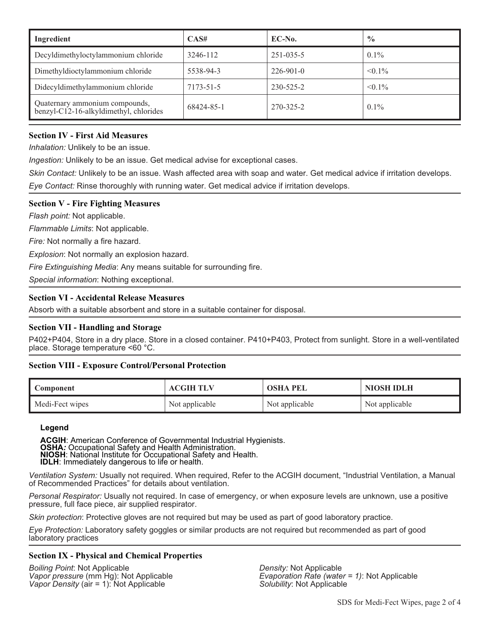| Ingredient                                                               | CAS#       | $EC-N0$ .       | $\frac{0}{0}$ |
|--------------------------------------------------------------------------|------------|-----------------|---------------|
| Decyldimethyloctylammonium chloride                                      | 3246-112   | $251 - 035 - 5$ | $0.1\%$       |
| Dimethyldioctylammonium chloride                                         | 5538-94-3  | $226 - 901 - 0$ | $< 0.1\%$     |
| Didecyldimethylammonium chloride                                         | 7173-51-5  | $230 - 525 - 2$ | $< 0.1\%$     |
| Quaternary ammonium compounds,<br>benzyl-C12-16-alkyldimethyl, chlorides | 68424-85-1 | 270-325-2       | $0.1\%$       |

# **Section IV - First Aid Measures**

*Inhalation:* Unlikely to be an issue.

*Ingestion:* Unlikely to be an issue. Get medical advise for exceptional cases.

*Skin Contact:* Unlikely to be an issue. Wash affected area with soap and water. Get medical advice if irritation develops. *Eye Contact:* Rinse thoroughly with running water. Get medical advice if irritation develops.

# **Section V - Fire Fighting Measures**

*Flash point:* Not applicable.

*Flammable Limits*: Not applicable.

*Fire:* Not normally a fire hazard.

*Explosion*: Not normally an explosion hazard.

*Fire Extinguishing Media*: Any means suitable for surrounding fire.

*Special information*: Nothing exceptional.

# **Section VI - Accidental Release Measures**

Absorb with a suitable absorbent and store in a suitable container for disposal.

# **Section VII - Handling and Storage**

P402+P404, Store in a dry place. Store in a closed container. P410+P403, Protect from sunlight. Store in a well-ventilated place. Storage temperature <60 °C.

# **Section VIII - Exposure Control/Personal Protection**

| <b>Component</b> | <b>ACGIH TLV</b> | <b>OSHA PEL</b> | NIOSH IDLH     |
|------------------|------------------|-----------------|----------------|
| Medi-Fect wipes  | Not applicable   | Not applicable  | Not applicable |

## **Legend**

ACGIH: American Conference of Governmental Industrial Hygienists.<br>
OSHA: Occupational Safety and Health Administration.<br>
NIOSH: National Institute for Occupational Safety and Health.<br>
IDLH: Immediately dangerous to life or

*Ventilation System:* Usually not required. When required, Refer to the ACGIH document, "Industrial Ventilation, a Manual of Recommended Practices" for details about ventilation.

*Personal Respirator:* Usually not required. In case of emergency, or when exposure levels are unknown, use a positive pressure, full face piece, air supplied respirator.

*Skin protection*: Protective gloves are not required but may be used as part of good laboratory practice.

*Eye Protection:* Laboratory safety goggles or similar products are not required but recommended as part of good laboratory practices

## **Section IX - Physical and Chemical Properties**

*Boiling Point*: Not Applicable *Density:* Not Applicable *Vapor Density* (air = 1): Not Applicable

*Evaporation Rate (water = 1)*: Not Applicable *Solubility:* Not Applicable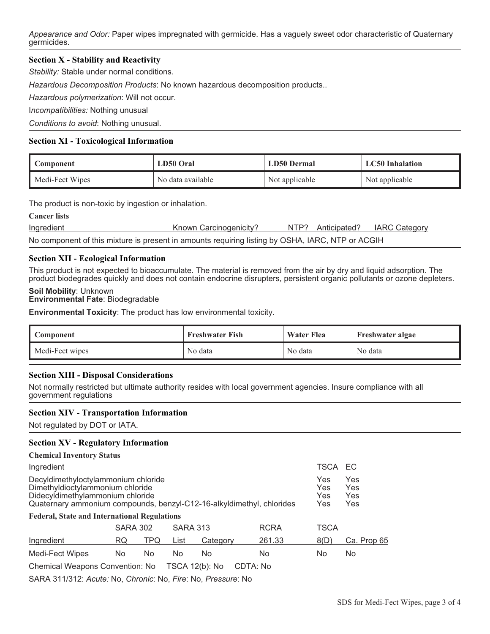*Appearance and Odor:* Paper wipes impregnated with germicide. Has a vaguely sweet odor characteristic of Quaternary germicides.

# **Section X - Stability and Reactivity**

*Stability:* Stable under normal conditions.

*Hazardous Decomposition Products*: No known hazardous decomposition products..

*Hazardous polymerization*: Will not occur.

I*ncompatibilities:* Nothing unusual

*Conditions to avoid*: Nothing unusual.

## **Section XI - Toxicological Information**

| Component       | LD50 Oral         | LD50 Dermal    | <b>LC50</b> Inhalation |  |
|-----------------|-------------------|----------------|------------------------|--|
| Medi-Fect Wipes | No data available | Not applicable | Not applicable         |  |

The product is non-toxic by ingestion or inhalation.

| <b>Cancer lists</b>                                                                              |                        |  |                   |                      |  |  |
|--------------------------------------------------------------------------------------------------|------------------------|--|-------------------|----------------------|--|--|
| Ingredient                                                                                       | Known Carcinogenicity? |  | NTP? Anticipated? | <b>IARC Category</b> |  |  |
| No component of this mixture is present in amounts requiring listing by OSHA, IARC, NTP or ACGIH |                        |  |                   |                      |  |  |

# **Section XII - Ecological Information**

This product is not expected to bioaccumulate. The material is removed from the air by dry and liquid adsorption. The product biodegrades quickly and does not contain endocrine disrupters, persistent organic pollutants or ozone depleters.

#### **Soil Mobility**: Unknown **Environmental Fate**: Biodegradable

**Environmental Toxicity**: The product has low environmental toxicity.

| Component       | <b>Freshwater Fish</b> | <b>Water Flea</b> | Freshwater algae |  |
|-----------------|------------------------|-------------------|------------------|--|
| Medi-Fect wipes | No data                | No data           | No data          |  |

## **Section XIII - Disposal Considerations**

Not normally restricted but ultimate authority resides with local government agencies. Insure compliance with all government regulations

#### **Section XIV - Transportation Information**

Not regulated by DOT or IATA.

## **Section XV - Regulatory Information**

#### **Chemical Inventory Status**

| Ingredient                                                                                                                                                                           |                 |     |                 |                | TSCA                     | EC                       |             |
|--------------------------------------------------------------------------------------------------------------------------------------------------------------------------------------|-----------------|-----|-----------------|----------------|--------------------------|--------------------------|-------------|
| Decyldimethyloctylammonium chloride<br>Dimethyldioctylammonium chloride<br>Didecyldimethylammonium chloride<br>Quaternary ammonium compounds, benzyl-C12-16-alkyldimethyl, chlorides |                 |     |                 |                | Yes<br>Yes<br>Yes<br>Yes | Yes<br>Yes<br>Yes<br>Yes |             |
| <b>Federal, State and International Regulations</b>                                                                                                                                  |                 |     |                 |                |                          |                          |             |
|                                                                                                                                                                                      | <b>SARA 302</b> |     | <b>SARA 313</b> |                | <b>RCRA</b>              | TSCA                     |             |
| Ingredient                                                                                                                                                                           | RQ              | TPQ | List            | Category       | 261.33                   | 8(D)                     | Ca. Prop 65 |
| Medi-Fect Wipes                                                                                                                                                                      | No              | No  | No              | No             | No                       | No                       | No          |
| Chemical Weapons Convention: No                                                                                                                                                      |                 |     |                 | TSCA 12(b): No | CDTA: No                 |                          |             |

SARA 311/312: *Acute:* No, *Chronic*: No, *Fire*: No, *Pressure*: No